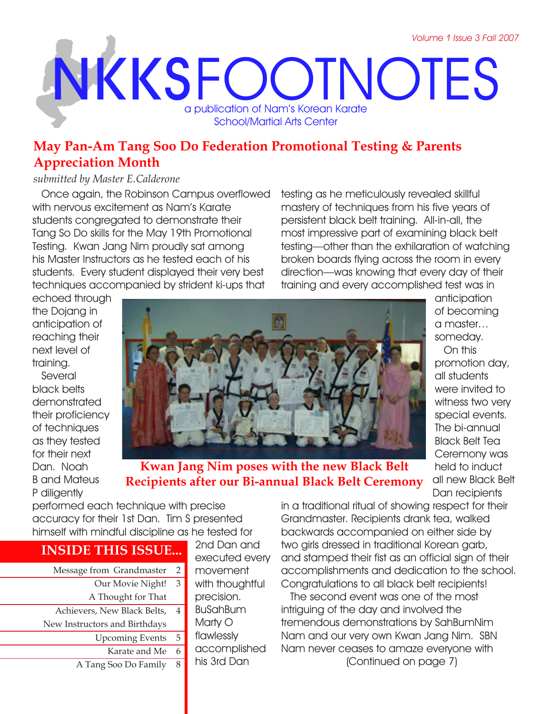# **NKKS** FOOTNOTES a publication of Nam's Korean Karate School/Martial Arts Center

## **May Pan-Am Tang Soo Do Federation Promotional Testing & Parents Appreciation Month**

#### *submitted by Master E.Calderone*

Once again, the Robinson Campus overflowed with nervous excitement as Nam's Karate students congregated to demonstrate their Tang So Do skills for the May 19th Promotional Testing. Kwan Jang Nim proudly sat among his Master Instructors as he tested each of his students. Every student displayed their very best techniques accompanied by strident ki-ups that

testing as he meticulously revealed skillful mastery of techniques from his five years of persistent black belt training. All-in-all, the most impressive part of examining black belt testing—other than the exhilaration of watching broken boards flying across the room in every direction—was knowing that every day of their training and every accomplished test was in

echoed through the Dojang in anticipation of reaching their next level of training.

Several black belts demonstrated their proficiency of techniques as they tested for their next Dan. Noah B and Mateus P diligently



**Kwan Jang Nim poses with the new Black Belt Recipients after our Bi-annual Black Belt Ceremony** anticipation of becoming a master… someday.

On this promotion day, all students were invited to witness two very special events. The bi-annual Black Belt Tea Ceremony was held to induct all new Black Belt Dan recipients

performed each technique with precise accuracy for their 1st Dan. Tim S presented himself with mindful discipline as he tested for

## **INSIDE THIS ISSUE...**

Message from Grandmaster 2 Our Movie Night! A Thought for That Achievers, New Black Belts, New Instructors and Birthdays Upcoming Events Karate and Me A Tang Soo Do Family 3 4 5 6 8

2nd Dan and executed every movement with thoughtful precision. BuSahBum Marty O flawlessly accomplished his 3rd Dan

in a traditional ritual of showing respect for their Grandmaster. Recipients drank tea, walked backwards accompanied on either side by two girls dressed in traditional Korean garb, and stamped their fist as an official sign of their accomplishments and dedication to the school. Congratulations to all black belt recipients!

The second event was one of the most intriguing of the day and involved the tremendous demonstrations by SahBumNim Nam and our very own Kwan Jang Nim. SBN Nam never ceases to amaze everyone with [Continued on page 7]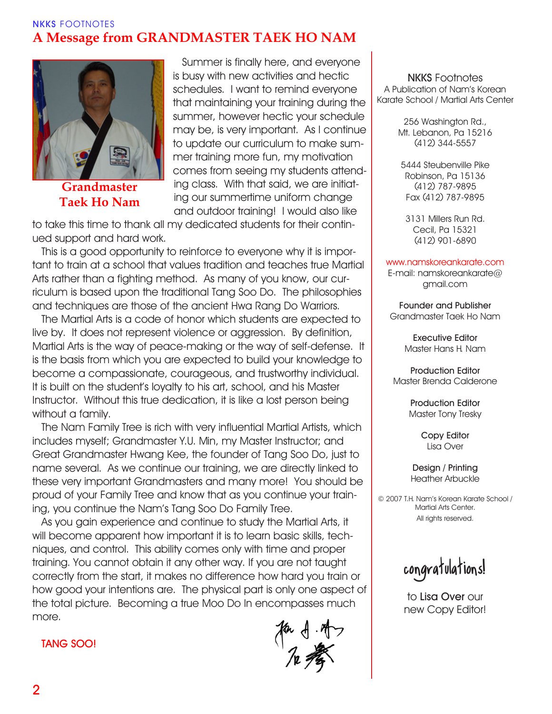## **NKKS** FOOTNOTES **A Message from GRANDMASTER TAEK HO NAM**



**Grandmaster Taek Ho Nam**

Summer is finally here, and everyone is busy with new activities and hectic schedules. I want to remind everyone that maintaining your training during the summer, however hectic your schedule may be, is very important. As I continue to update our curriculum to make summer training more fun, my motivation comes from seeing my students attending class. With that said, we are initiating our summertime uniform change and outdoor training! I would also like

to take this time to thank all my dedicated students for their continued support and hard work.

This is a good opportunity to reinforce to everyone why it is important to train at a school that values tradition and teaches true Martial Arts rather than a fighting method. As many of you know, our curriculum is based upon the traditional Tang Soo Do. The philosophies and techniques are those of the ancient Hwa Rang Do Warriors.

The Martial Arts is a code of honor which students are expected to live by. It does not represent violence or aggression. By definition, Martial Arts is the way of peace-making or the way of self-defense. It is the basis from which you are expected to build your knowledge to become a compassionate, courageous, and trustworthy individual. It is built on the student's loyalty to his art, school, and his Master Instructor. Without this true dedication, it is like a lost person being without a family.

The Nam Family Tree is rich with very influential Martial Artists, which includes myself; Grandmaster Y.U. Min, my Master Instructor; and Great Grandmaster Hwang Kee, the founder of Tang Soo Do, just to name several. As we continue our training, we are directly linked to these very important Grandmasters and many more! You should be proud of your Family Tree and know that as you continue your training, you continue the Nam's Tang Soo Do Family Tree.

As you gain experience and continue to study the Martial Arts, it will become apparent how important it is to learn basic skills, techniques, and control. This ability comes only with time and proper training. You cannot obtain it any other way. If you are not taught correctly from the start, it makes no difference how hard you train or how good your intentions are. The physical part is only one aspect of the total picture. Becoming a true Moo Do In encompasses much more.

for  $f \cdot f$ 

**NKKS** Footnotes A Publication of Nam's Korean Karate School / Martial Arts Center

> 256 Washington Rd., Mt. Lebanon, Pa 15216 (412) 344-5557

5444 Steubenville Pike Robinson, Pa 15136 (412) 787-9895 Fax (412) 787-9895

3131 Millers Run Rd. Cecil, Pa 15321 (412) 901-6890

#### www.namskoreankarate.com

E-mail: namskoreankarate@ gmail.com

**Founder and Publisher** Grandmaster Taek Ho Nam

> **Executive Editor** Master Hans H. Nam

**Production Editor** Master Brenda Calderone

> **Production Editor** Master Tony Tresky

> > **Copy Editor** Lisa Over

**Design / Printing** Heather Arbuckle

© 2007 T.H. Nam's Korean Karate School / Martial Arts Center. All rights reserved.

congratulations!

to **Lisa Over** our new Copy Editor!

**TANG SOO!**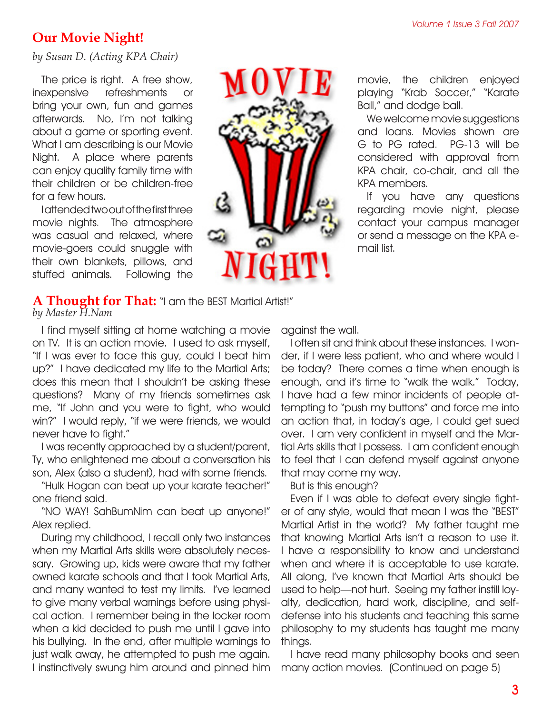## **Our Movie Night!**

*by Susan D. (Acting KPA Chair)*

The price is right. A free show, inexpensive refreshments or bring your own, fun and games afterwards. No, I'm not talking about a game or sporting event. What I am describing is our Movie Night. A place where parents can enjoy quality family time with their children or be children-free for a few hours.

I attended two out of the first three movie nights. The atmosphere was casual and relaxed, where movie-goers could snuggle with their own blankets, pillows, and stuffed animals. Following the



movie, the children enjoyed playing "Krab Soccer," "Karate Ball," and dodge ball.

We welcome movie suggestions and loans. Movies shown are G to PG rated. PG-13 will be considered with approval from KPA chair, co-chair, and all the KPA members.

If you have any questions regarding movie night, please contact your campus manager or send a message on the KPA email list.

#### **A Thought for That:** "I am the BEST Martial Artist!" *by Master H.Nam*

I find myself sitting at home watching a movie on TV. It is an action movie. I used to ask myself, "If I was ever to face this guy, could I beat him up?" I have dedicated my life to the Martial Arts; does this mean that I shouldn't be asking these questions? Many of my friends sometimes ask me, "If John and you were to fight, who would win?" I would reply, "if we were friends, we would never have to fight."

I was recently approached by a student/parent, Ty, who enlightened me about a conversation his son, Alex (also a student), had with some friends.

"Hulk Hogan can beat up your karate teacher!" one friend said.

"NO WAY! SahBumNim can beat up anyone!" Alex replied.

During my childhood, I recall only two instances when my Martial Arts skills were absolutely necessary. Growing up, kids were aware that my father owned karate schools and that I took Martial Arts, and many wanted to test my limits. I've learned to give many verbal warnings before using physical action. I remember being in the locker room when a kid decided to push me until I gave into his bullying. In the end, after multiple warnings to just walk away, he attempted to push me again. I instinctively swung him around and pinned him against the wall.

I often sit and think about these instances. I wonder, if I were less patient, who and where would I be today? There comes a time when enough is enough, and it's time to "walk the walk." Today, I have had a few minor incidents of people attempting to "push my buttons" and force me into an action that, in today's age, I could get sued over. I am very confident in myself and the Martial Arts skills that I possess. I am confident enough to feel that I can defend myself against anyone that may come my way.

But is this enough?

Even if I was able to defeat every single fighter of any style, would that mean I was the "BEST" Martial Artist in the world? My father taught me that knowing Martial Arts isn't a reason to use it. I have a responsibility to know and understand when and where it is acceptable to use karate. All along, I've known that Martial Arts should be used to help—not hurt. Seeing my father instill loyalty, dedication, hard work, discipline, and selfdefense into his students and teaching this same philosophy to my students has taught me many things.

I have read many philosophy books and seen many action movies. [Continued on page 5]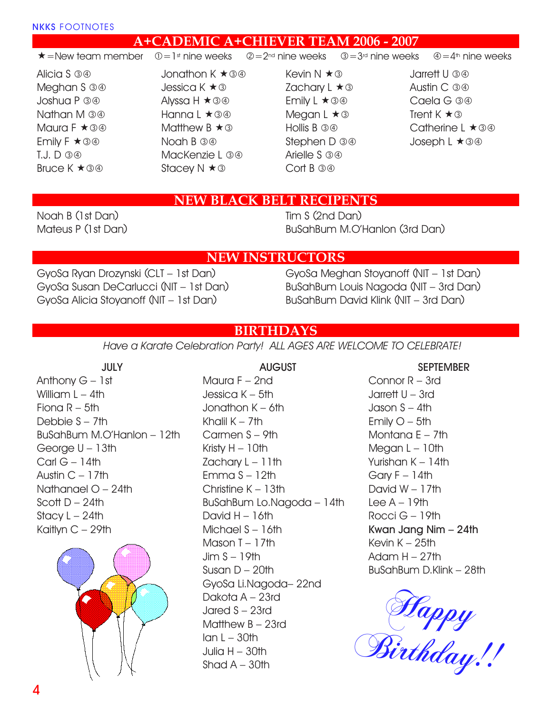### **A+CADEMIC A+CHIEVER TEAM 2006 - 2007**

#### $\star$  =New team member  $\oplus$  = 1st nine weeks  $\otimes$  = 2<sup>nd</sup> nine weeks  $\oplus$  = 3<sup>rd</sup> nine weeks  $\oplus$  = 4<sup>th</sup> nine weeks

Alicia S 34 Meghan S 34 Joshua P Nathan M Maura  $F \star 39$ Emily  $F \star \textcircled{3} \textcircled{4}$  $T.J. D. 399$ Bruce  $K \star \textcircled{3} \textcircled{4}$ 

Jonathon  $K \star \textcircled{3} \textcircled{4}$ Jessica K ★ ③ Alyssa  $H \star 30$ Hanna L  $\star$  34 Matthew  $B \star \textcircled{3}$ Noah B 34 MacKenzie L 34 Stacey  $N \star \mathcal{D}$ 

- Kevin  $N \star \textcircled{3}$ Zachary L  $\star$  3 Emily  $L \star \textcircled{3} \textcircled{4}$ Megan  $L \star \textcircled{3}$ Hollis B 34 Stephen D 34 Arielle S 34 Cort B 34
- Jarrett U Austin C 34 Caela G Trent  $K \star \textcircled{3}$ Catherine L **★** 34 Joseph L ★ 3 4

## **NEW BLACK BELT RECIPENTS**

Noah B (1st Dan) Mateus P (1st Dan) Tim S (2nd Dan) BuSahBum M.O'Hanlon (3rd Dan)

#### **NEW INSTRUCTORS**

GyoSa Ryan Drozynski (CLT – 1st Dan) GyoSa Susan DeCarlucci (NIT – 1st Dan) GyoSa Alicia Stoyanoff (NIT – 1st Dan)

GyoSa Meghan Stoyanoff (NIT – 1st Dan) BuSahBum Louis Nagoda (NIT – 3rd Dan) BuSahBum David Klink (NIT – 3rd Dan)

## **BIRTHDAYS**

*Have a Karate Celebration Party! ALL AGES ARE WELCOME TO CELEBRATE!*

**JULY** Anthony G – 1st William  $L - 4$ th Fiona  $R - 5$ th Debbie S – 7th BuSahBum M.O'Hanlon – 12th George U – 13th Carl  $G - 14$ th Austin  $C - 17$ th Nathanael O – 24th Scott  $D - 24$ th Stacy  $L - 24$ th Kaitlyn C – 29th



**AUGUST**

Maura F – 2nd Jessica K – 5th Jonathon K – 6th Khalil  $K - 7$ th Carmen S – 9th Kristy  $H - 10$ th Zachary  $L - 11$ th Emma  $S - 12$ th Christine K – 13th BuSahBum Lo.Nagoda – 14th David  $H - 16th$ Michael S – 16th Mason T – 17th Jim  $S - 19$ th Susan  $D - 20$ th GyoSa Li.Nagoda– 22nd Dakota A – 23rd Jared S – 23rd Matthew B – 23rd  $Ian L - 30th$ Julia  $H - 30$ th Shad  $A - 30$ th

#### **SEPTEMBER**

Connor R – 3rd Jarrett U – 3rd Jason  $S - 4th$ Emily  $O - 5$ th Montana E – 7th Megan  $L - 10$ th Yurishan K – 14th Gary  $F - 14$ th David W – 17th Lee  $A - 19$ th Rocci G – 19th **Kwan Jang Nim – 24th** Kevin  $K - 25$ th Adam  $H - 27$ th BuSahBum D.Klink – 28th

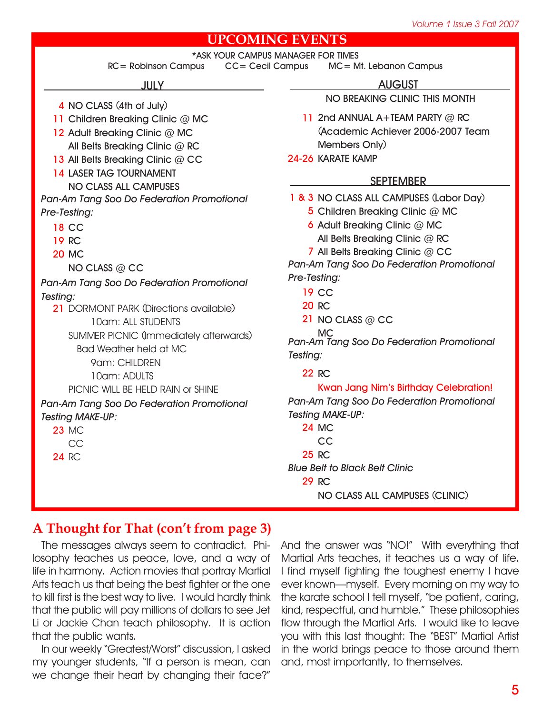## **UPCOMING EVENTS**

|                                           | OMINA E A ETA                                                                           |
|-------------------------------------------|-----------------------------------------------------------------------------------------|
| $RC = Robinson$ Campus                    | *ASK YOUR CAMPUS MANAGER FOR TIMES<br><b>CC= Cecil Campus</b><br>MC= Mt. Lebanon Campus |
| <b>JULY</b>                               | <b>AUGUST</b>                                                                           |
| 4 NO CLASS (4th of July)                  | NO BREAKING CLINIC THIS MONTH                                                           |
| 11 Children Breaking Clinic @ MC          | 11 2nd ANNUAL A+TEAM PARTY @ RC                                                         |
| 12 Adult Breaking Clinic @ MC             | (Academic Achiever 2006-2007 Team                                                       |
| All Belts Breaking Clinic @ RC            | Members Only)                                                                           |
| 13 All Belts Breaking Clinic @ CC         | 24-26 KARATE KAMP                                                                       |
| <b>14 LASER TAG TOURNAMENT</b>            |                                                                                         |
| NO CLASS ALL CAMPUSES                     | <b>SEPTEMBER</b>                                                                        |
| Pan-Am Tang Soo Do Federation Promotional | 1 & 3 NO CLASS ALL CAMPUSES (Labor Day)                                                 |
| Pre-Testing:                              | 5 Children Breaking Clinic @ MC                                                         |
| <b>18 CC</b>                              | 6 Adult Breaking Clinic @ MC                                                            |
| <b>19 RC</b>                              | All Belts Breaking Clinic @ RC                                                          |
| <b>20 MC</b>                              | 7 All Belts Breaking Clinic @ CC                                                        |
| NO CLASS @ CC                             | Pan-Am Tang Soo Do Federation Promotional                                               |
| Pan-Am Tang Soo Do Federation Promotional | Pre-Testing:                                                                            |
| Testing:                                  | <b>19 CC</b>                                                                            |
| 21 DORMONT PARK (Directions available)    | <b>20 RC</b>                                                                            |
| 10am: ALL STUDENTS                        | 21 NO CLASS @ CC                                                                        |
| SUMMER PICNIC (Immediately afterwards)    | МC<br>Pan-Am Tang Soo Do Federation Promotional                                         |
| <b>Bad Weather held at MC</b>             | Testing:                                                                                |
| 9am: CHILDREN                             |                                                                                         |
| 10am: ADULTS                              | <b>22 RC</b>                                                                            |
| PICNIC WILL BE HELD RAIN OF SHINE         | <b>Kwan Jang Nim's Birthday Celebration!</b>                                            |
| Pan-Am Tang Soo Do Federation Promotional | Pan-Am Tang Soo Do Federation Promotional                                               |
| <b>Testing MAKE-UP:</b>                   | <b>Testing MAKE-UP:</b>                                                                 |
| <b>23 MC</b>                              | <b>24 MC</b>                                                                            |
| CC                                        | <b>CC</b>                                                                               |
| <b>24 RC</b>                              | 25 RC                                                                                   |
|                                           | <b>Blue Belt to Black Belt Clinic</b>                                                   |
|                                           | <b>29 RC</b>                                                                            |
|                                           | NO CLASS ALL CAMPUSES (CLINIC)                                                          |

## **A Thought for That (con't from page 3)**

The messages always seem to contradict. Philosophy teaches us peace, love, and a way of life in harmony. Action movies that portray Martial Arts teach us that being the best fighter or the one to kill first is the best way to live. I would hardly think that the public will pay millions of dollars to see Jet Li or Jackie Chan teach philosophy. It is action that the public wants.

In our weekly "Greatest/Worst" discussion, I asked my younger students, "If a person is mean, can we change their heart by changing their face?"

And the answer was "NO!" With everything that Martial Arts teaches, it teaches us a way of life. I find myself fighting the toughest enemy I have ever known—myself. Every morning on my way to the karate school I tell myself, "be patient, caring, kind, respectful, and humble." These philosophies flow through the Martial Arts. I would like to leave you with this last thought: The "BEST" Martial Artist in the world brings peace to those around them and, most importantly, to themselves.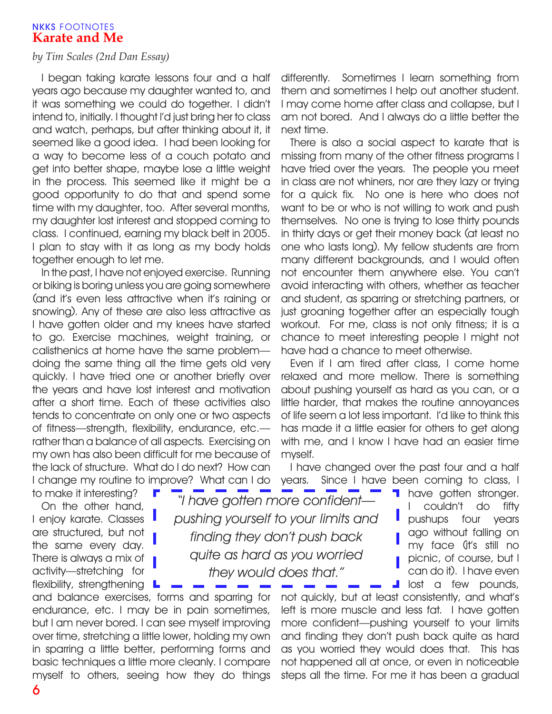#### **NKKS** FOOTNOTES **Karate and Me**

#### *by Tim Scales (2nd Dan Essay)*

I began taking karate lessons four and a half years ago because my daughter wanted to, and it was something we could do together. I didn't intend to, initially. I thought I'd just bring her to class and watch, perhaps, but after thinking about it, it seemed like a good idea. I had been looking for a way to become less of a couch potato and get into better shape, maybe lose a little weight in the process. This seemed like it might be a good opportunity to do that and spend some time with my daughter, too. After several months, my daughter lost interest and stopped coming to class. I continued, earning my black belt in 2005. I plan to stay with it as long as my body holds together enough to let me.

In the past, I have not enjoyed exercise. Running or biking is boring unless you are going somewhere (and it's even less attractive when it's raining or snowing). Any of these are also less attractive as I have gotten older and my knees have started to go. Exercise machines, weight training, or calisthenics at home have the same problem doing the same thing all the time gets old very quickly. I have tried one or another briefly over the years and have lost interest and motivation after a short time. Each of these activities also tends to concentrate on only one or two aspects of fitness—strength, flexibility, endurance, etc. rather than a balance of all aspects. Exercising on my own has also been difficult for me because of the lack of structure. What do I do next? How can I change my routine to improve? What can I do to make it interesting?

On the other hand, I enjoy karate. Classes are structured, but not the same every day. There is always a mix of activity—stretching for

differently. Sometimes I learn something from them and sometimes I help out another student. I may come home after class and collapse, but I am not bored. And I always do a little better the next time.

There is also a social aspect to karate that is missing from many of the other fitness programs I have tried over the years. The people you meet in class are not whiners, nor are they lazy or trying for a quick fix. No one is here who does not want to be or who is not willing to work and push themselves. No one is trying to lose thirty pounds in thirty days or get their money back (at least no one who lasts long). My fellow students are from many different backgrounds, and I would often not encounter them anywhere else. You can't avoid interacting with others, whether as teacher and student, as sparring or stretching partners, or just groaning together after an especially tough workout. For me, class is not only fitness; it is a chance to meet interesting people I might not have had a chance to meet otherwise.

Even if I am tired after class, I come home relaxed and more mellow. There is something about pushing yourself as hard as you can, or a little harder, that makes the routine annoyances of life seem a lot less important. I'd like to think this has made it a little easier for others to get along with me, and I know I have had an easier time myself.

I have changed over the past four and a half years. Since I have been coming to class, I

*"I have gotten more confident pushing yourself to your limits and finding they don't push back quite as hard as you worried they would does that."*

flexibility, strengthening  $L$ and balance exercises, forms and sparring for endurance, etc. I may be in pain sometimes, but I am never bored. I can see myself improving over time, stretching a little lower, holding my own in sparring a little better, performing forms and basic techniques a little more cleanly. I compare myself to others, seeing how they do things

**have gotten stronger.** I couldn't do fifty pushups four years ago without falling on my face (it's still no picnic, of course, but I can do it). I have even lost a few pounds,

not quickly, but at least consistently, and what's left is more muscle and less fat. I have gotten more confident—pushing yourself to your limits and finding they don't push back quite as hard as you worried they would does that. This has not happened all at once, or even in noticeable steps all the time. For me it has been a gradual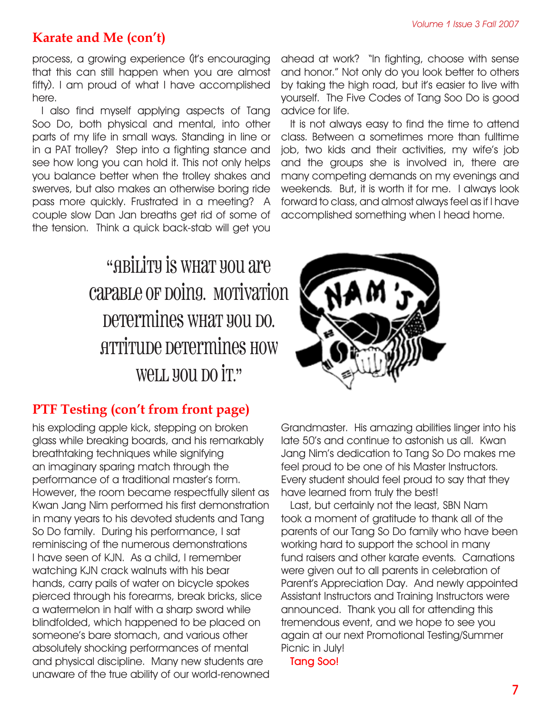## **Karate and Me (con't)**

process, a growing experience (it's encouraging that this can still happen when you are almost fifty). I am proud of what I have accomplished here.

I also find myself applying aspects of Tang Soo Do, both physical and mental, into other parts of my life in small ways. Standing in line or in a PAT trolley? Step into a fighting stance and see how long you can hold it. This not only helps you balance better when the trolley shakes and swerves, but also makes an otherwise boring ride pass more quickly. Frustrated in a meeting? A couple slow Dan Jan breaths get rid of some of the tension. Think a quick back-stab will get you

## "ABILITY IS WHAT YOU ATE capable or poing. Morivarion Determines what you bo. Attitude determines how WeLL YOU DO IT."

## **PTF Testing (con't from front page)**

his exploding apple kick, stepping on broken glass while breaking boards, and his remarkably breathtaking techniques while signifying an imaginary sparing match through the performance of a traditional master's form. However, the room became respectfully silent as Kwan Jang Nim performed his first demonstration in many years to his devoted students and Tang So Do family. During his performance, I sat reminiscing of the numerous demonstrations I have seen of KJN. As a child, I remember watching KJN crack walnuts with his bear hands, carry pails of water on bicycle spokes pierced through his forearms, break bricks, slice a watermelon in half with a sharp sword while blindfolded, which happened to be placed on someone's bare stomach, and various other absolutely shocking performances of mental and physical discipline. Many new students are unaware of the true ability of our world-renowned ahead at work? "In fighting, choose with sense and honor." Not only do you look better to others by taking the high road, but it's easier to live with yourself. The Five Codes of Tang Soo Do is good advice for life.

It is not always easy to find the time to attend class. Between a sometimes more than fulltime job, two kids and their activities, my wife's job and the groups she is involved in, there are many competing demands on my evenings and weekends. But, it is worth it for me. I always look forward to class, and almost always feel as if I have accomplished something when I head home.



Grandmaster. His amazing abilities linger into his late 50's and continue to astonish us all. Kwan Jang Nim's dedication to Tang So Do makes me feel proud to be one of his Master Instructors. Every student should feel proud to say that they have learned from truly the best!

Last, but certainly not the least, SBN Nam took a moment of gratitude to thank all of the parents of our Tang So Do family who have been working hard to support the school in many fund raisers and other karate events. Carnations were given out to all parents in celebration of Parent's Appreciation Day. And newly appointed Assistant Instructors and Training Instructors were announced. Thank you all for attending this tremendous event, and we hope to see you again at our next Promotional Testing/Summer Picnic in July!

**Tang Soo!**